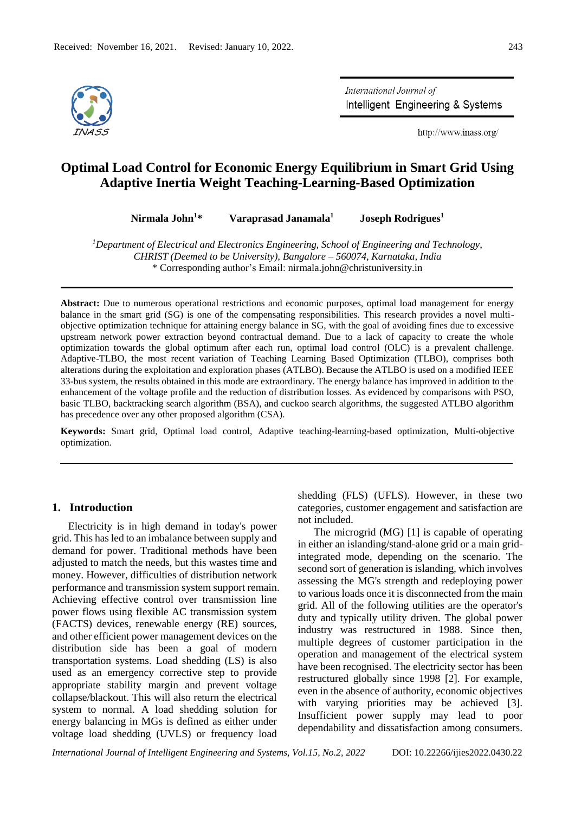

International Journal of Intelligent Engineering & Systems

http://www.inass.org/

# **Optimal Load Control for Economic Energy Equilibrium in Smart Grid Using Adaptive Inertia Weight Teaching-Learning-Based Optimization**

**Nirmala John<sup>1</sup>\* Varaprasad Janamala<sup>1</sup> Joseph Rodrigues<sup>1</sup>**

*<sup>1</sup>Department of Electrical and Electronics Engineering, School of Engineering and Technology, CHRIST (Deemed to be University), Bangalore – 560074, Karnataka, India* \* Corresponding author's Email: nirmala.john@christuniversity.in

**Abstract:** Due to numerous operational restrictions and economic purposes, optimal load management for energy balance in the smart grid (SG) is one of the compensating responsibilities. This research provides a novel multiobjective optimization technique for attaining energy balance in SG, with the goal of avoiding fines due to excessive upstream network power extraction beyond contractual demand. Due to a lack of capacity to create the whole optimization towards the global optimum after each run, optimal load control (OLC) is a prevalent challenge. Adaptive-TLBO, the most recent variation of Teaching Learning Based Optimization (TLBO), comprises both alterations during the exploitation and exploration phases (ATLBO). Because the ATLBO is used on a modified IEEE 33-bus system, the results obtained in this mode are extraordinary. The energy balance has improved in addition to the enhancement of the voltage profile and the reduction of distribution losses. As evidenced by comparisons with PSO, basic TLBO, backtracking search algorithm (BSA), and cuckoo search algorithms, the suggested ATLBO algorithm has precedence over any other proposed algorithm (CSA).

**Keywords:** Smart grid, Optimal load control, Adaptive teaching-learning-based optimization, Multi-objective optimization.

# **1. Introduction**

Electricity is in high demand in today's power grid. This has led to an imbalance between supply and demand for power. Traditional methods have been adjusted to match the needs, but this wastes time and money. However, difficulties of distribution network performance and transmission system support remain. Achieving effective control over transmission line power flows using flexible AC transmission system (FACTS) devices, renewable energy (RE) sources, and other efficient power management devices on the distribution side has been a goal of modern transportation systems. Load shedding (LS) is also used as an emergency corrective step to provide appropriate stability margin and prevent voltage collapse/blackout. This will also return the electrical system to normal. A load shedding solution for energy balancing in MGs is defined as either under voltage load shedding (UVLS) or frequency load

shedding (FLS) (UFLS). However, in these two categories, customer engagement and satisfaction are not included.

The microgrid (MG) [1] is capable of operating in either an islanding/stand-alone grid or a main gridintegrated mode, depending on the scenario. The second sort of generation is islanding, which involves assessing the MG's strength and redeploying power to various loads once it is disconnected from the main grid. All of the following utilities are the operator's duty and typically utility driven. The global power industry was restructured in 1988. Since then, multiple degrees of customer participation in the operation and management of the electrical system have been recognised. The electricity sector has been restructured globally since 1998 [2]. For example, even in the absence of authority, economic objectives with varying priorities may be achieved [3]. Insufficient power supply may lead to poor dependability and dissatisfaction among consumers.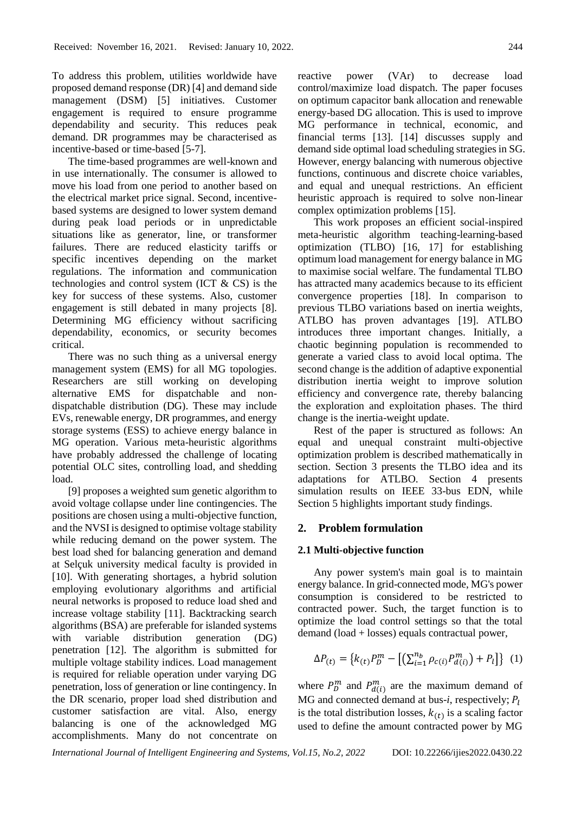To address this problem, utilities worldwide have proposed demand response (DR) [4] and demand side management (DSM) [5] initiatives. Customer engagement is required to ensure programme dependability and security. This reduces peak demand. DR programmes may be characterised as incentive-based or time-based [5-7].

The time-based programmes are well-known and in use internationally. The consumer is allowed to move his load from one period to another based on the electrical market price signal. Second, incentivebased systems are designed to lower system demand during peak load periods or in unpredictable situations like as generator, line, or transformer failures. There are reduced elasticity tariffs or specific incentives depending on the market regulations. The information and communication technologies and control system (ICT & CS) is the key for success of these systems. Also, customer engagement is still debated in many projects [8]. Determining MG efficiency without sacrificing dependability, economics, or security becomes critical.

There was no such thing as a universal energy management system (EMS) for all MG topologies. Researchers are still working on developing alternative EMS for dispatchable and nondispatchable distribution (DG). These may include EVs, renewable energy, DR programmes, and energy storage systems (ESS) to achieve energy balance in MG operation. Various meta-heuristic algorithms have probably addressed the challenge of locating potential OLC sites, controlling load, and shedding load.

[9] proposes a weighted sum genetic algorithm to avoid voltage collapse under line contingencies. The positions are chosen using a multi-objective function, and the NVSI is designed to optimise voltage stability while reducing demand on the power system. The best load shed for balancing generation and demand at Selçuk university medical faculty is provided in [10]. With generating shortages, a hybrid solution employing evolutionary algorithms and artificial neural networks is proposed to reduce load shed and increase voltage stability [11]. Backtracking search algorithms (BSA) are preferable for islanded systems with variable distribution generation (DG) penetration [12]. The algorithm is submitted for multiple voltage stability indices. Load management is required for reliable operation under varying DG penetration, loss of generation or line contingency. In the DR scenario, proper load shed distribution and customer satisfaction are vital. Also, energy balancing is one of the acknowledged MG accomplishments. Many do not concentrate on reactive power (VAr) to decrease load control/maximize load dispatch. The paper focuses on optimum capacitor bank allocation and renewable energy-based DG allocation. This is used to improve MG performance in technical, economic, and financial terms [13]. [14] discusses supply and demand side optimal load scheduling strategies in SG. However, energy balancing with numerous objective functions, continuous and discrete choice variables, and equal and unequal restrictions. An efficient heuristic approach is required to solve non-linear complex optimization problems [15].

This work proposes an efficient social-inspired meta-heuristic algorithm teaching-learning-based optimization (TLBO) [16, 17] for establishing optimum load management for energy balance in MG to maximise social welfare. The fundamental TLBO has attracted many academics because to its efficient convergence properties [18]. In comparison to previous TLBO variations based on inertia weights, ATLBO has proven advantages [19]. ATLBO introduces three important changes. Initially, a chaotic beginning population is recommended to generate a varied class to avoid local optima. The second change is the addition of adaptive exponential distribution inertia weight to improve solution efficiency and convergence rate, thereby balancing the exploration and exploitation phases. The third change is the inertia-weight update.

Rest of the paper is structured as follows: An equal and unequal constraint multi-objective optimization problem is described mathematically in section. Section 3 presents the TLBO idea and its adaptations for ATLBO. Section 4 presents simulation results on IEEE 33-bus EDN, while Section 5 highlights important study findings.

# **2. Problem formulation**

# **2.1 Multi-objective function**

Any power system's main goal is to maintain energy balance. In grid-connected mode, MG's power consumption is considered to be restricted to contracted power. Such, the target function is to optimize the load control settings so that the total demand (load + losses) equals contractual power,

$$
\Delta P_{(t)} = \left\{ k_{(t)} P_D^m - \left[ \left( \sum_{i=1}^{n_b} \rho_{c(i)} P_{d(i)}^m \right) + P_l \right] \right\} (1)
$$

where  $P_D^m$  and  $P_{d(i)}^m$  are the maximum demand of MG and connected demand at bus- $i$ , respectively;  $P_i$ is the total distribution losses,  $k(t)$  is a scaling factor used to define the amount contracted power by MG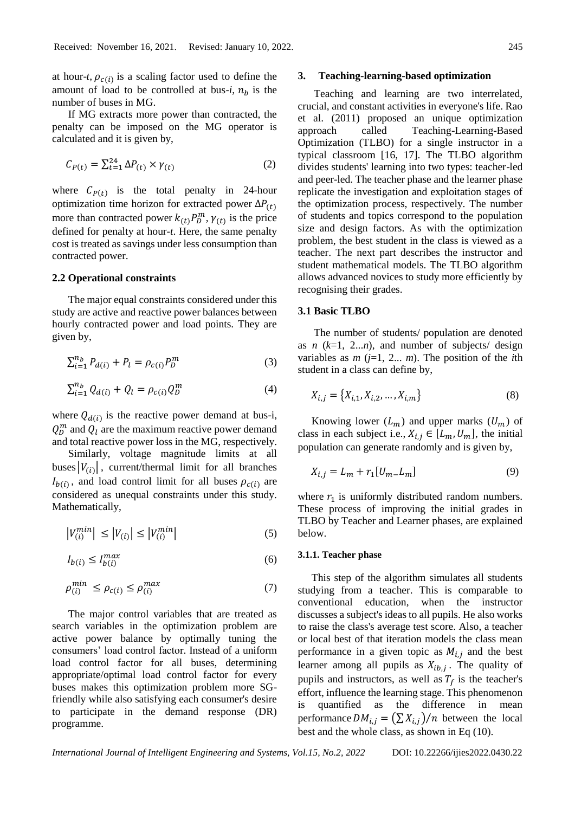at hour-*t*,  $\rho_{c(i)}$  is a scaling factor used to define the amount of load to be controlled at bus-*i*,  $n_h$  is the number of buses in MG.

If MG extracts more power than contracted, the penalty can be imposed on the MG operator is calculated and it is given by,

$$
C_{P(t)} = \sum_{t=1}^{24} \Delta P_{(t)} \times \gamma_{(t)}
$$
 (2)

where  $C_{P(t)}$  is the total penalty in 24-hour optimization time horizon for extracted power  $\Delta P_{(t)}$ more than contracted power  $k_{(t)} P_D^m$ ,  $\gamma_{(t)}$  is the price defined for penalty at hour-*t*. Here, the same penalty cost is treated as savings under less consumption than contracted power.

#### **2.2 Operational constraints**

The major equal constraints considered under this study are active and reactive power balances between hourly contracted power and load points. They are given by,

$$
\sum_{i=1}^{n_b} P_{d(i)} + P_l = \rho_{c(i)} P_b^m \tag{3}
$$

$$
\sum_{i=1}^{n_b} Q_{d(i)} + Q_l = \rho_{c(i)} Q_p^m \tag{4}
$$

where  $Q_{d(i)}$  is the reactive power demand at bus-i,  $Q_D^m$  and  $Q_l$  are the maximum reactive power demand and total reactive power loss in the MG, respectively.

Similarly, voltage magnitude limits at all buses  $|V_{(i)}|$ , current/thermal limit for all branches  $I_{b(i)}$ , and load control limit for all buses  $\rho_{c(i)}$  are considered as unequal constraints under this study. Mathematically,

$$
|V_{(i)}^{min}| \le |V_{(i)}| \le |V_{(i)}^{min}| \tag{5}
$$

$$
I_{b(i)} \le I_{b(i)}^{\max} \tag{6}
$$

$$
\rho_{(i)}^{min} \le \rho_{c(i)} \le \rho_{(i)}^{max} \tag{7}
$$

The major control variables that are treated as search variables in the optimization problem are active power balance by optimally tuning the consumers' load control factor. Instead of a uniform load control factor for all buses, determining appropriate/optimal load control factor for every buses makes this optimization problem more SGfriendly while also satisfying each consumer's desire to participate in the demand response (DR) programme.

#### **3. Teaching-learning-based optimization**

Teaching and learning are two interrelated, crucial, and constant activities in everyone's life. Rao et al. (2011) proposed an unique optimization approach called Teaching-Learning-Based Optimization (TLBO) for a single instructor in a typical classroom [16, 17]. The TLBO algorithm divides students' learning into two types: teacher-led and peer-led. The teacher phase and the learner phase replicate the investigation and exploitation stages of the optimization process, respectively. The number of students and topics correspond to the population size and design factors. As with the optimization problem, the best student in the class is viewed as a teacher. The next part describes the instructor and student mathematical models. The TLBO algorithm allows advanced novices to study more efficiently by recognising their grades.

## **3.1 Basic TLBO**

The number of students/ population are denoted as *n*  $(k=1, 2...n)$ , and number of subjects/ design variables as  $m$  ( $j=1, 2...$   $m$ ). The position of the *i*th student in a class can define by,

$$
X_{i,j} = \{X_{i,1}, X_{i,2}, \dots, X_{i,m}\}
$$
 (8)

Knowing lower  $(L_m)$  and upper marks  $(U_m)$  of class in each subject i.e.,  $X_{i,j} \in [L_m, U_m]$ , the initial population can generate randomly and is given by,

$$
X_{i,j} = L_m + r_1[U_{m-}L_m]
$$
 (9)

where  $r_1$  is uniformly distributed random numbers. These process of improving the initial grades in TLBO by Teacher and Learner phases, are explained below.

#### **3.1.1. Teacher phase**

This step of the algorithm simulates all students studying from a teacher. This is comparable to conventional education, when the instructor discusses a subject's ideas to all pupils. He also works to raise the class's average test score. Also, a teacher or local best of that iteration models the class mean performance in a given topic as  $M_{i,j}$  and the best learner among all pupils as  $X_{ib,j}$ . The quality of pupils and instructors, as well as  $T_f$  is the teacher's effort, influence the learning stage. This phenomenon is quantified as the difference in mean performance  $DM_{i,j} = (\sum X_{i,j})/n$  between the local best and the whole class, as shown in Eq (10).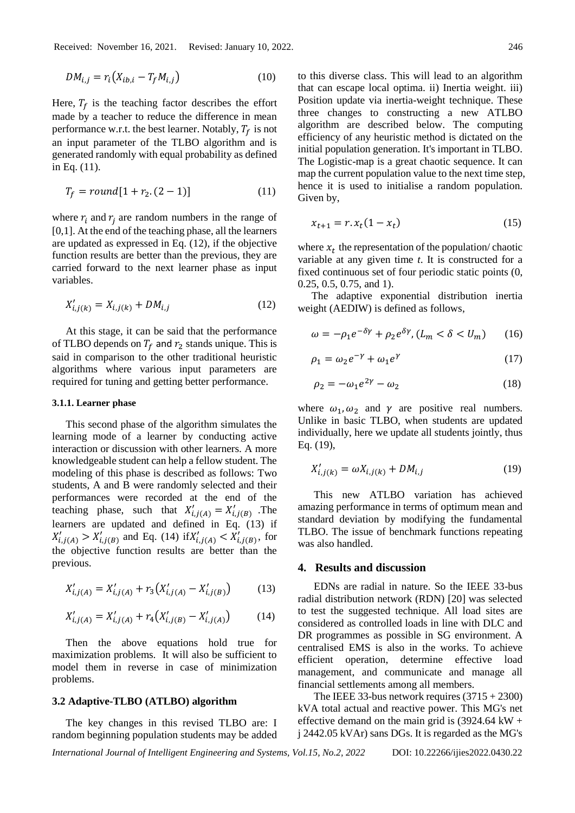$$
DM_{i,j} = r_i \left( X_{ib,i} - T_f M_{i,j} \right) \tag{10}
$$

Here,  $T_f$  is the teaching factor describes the effort made by a teacher to reduce the difference in mean performance w.r.t. the best learner. Notably,  $T_f$  is not an input parameter of the TLBO algorithm and is generated randomly with equal probability as defined in Eq. (11).

$$
T_f = round[1 + r_2. (2 - 1)] \tag{11}
$$

where  $r_i$  and  $r_i$  are random numbers in the range of [0,1]. At the end of the teaching phase, all the learners are updated as expressed in Eq. (12), if the objective function results are better than the previous, they are carried forward to the next learner phase as input variables.

$$
X'_{i,j(k)} = X_{i,j(k)} + DM_{i,j}
$$
 (12)

At this stage, it can be said that the performance of TLBO depends on  $T_f$  and  $r_2$  stands unique. This is said in comparison to the other traditional heuristic algorithms where various input parameters are required for tuning and getting better performance.

#### **3.1.1. Learner phase**

This second phase of the algorithm simulates the learning mode of a learner by conducting active interaction or discussion with other learners. A more knowledgeable student can help a fellow student. The modeling of this phase is described as follows: Two students, A and B were randomly selected and their performances were recorded at the end of the teaching phase, such that  $X'_{i,j(A)} = X'_{i,j(B)}$ . The learners are updated and defined in Eq. (13) if  $X'_{i,j(A)} > X'_{i,j(B)}$  and Eq. (14) if  $X'_{i,j(A)} < X'_{i,j(B)}$ , for the objective function results are better than the previous.

$$
X'_{i,j(A)} = X'_{i,j(A)} + r_3 \big(X'_{i,j(A)} - X'_{i,j(B)}\big) \tag{13}
$$

$$
X'_{i,j(A)} = X'_{i,j(A)} + r_4 \big(X'_{i,j(B)} - X'_{i,j(A)}\big) \tag{14}
$$

Then the above equations hold true for maximization problems. It will also be sufficient to model them in reverse in case of minimization problems.

#### **3.2 Adaptive-TLBO (ATLBO) algorithm**

The key changes in this revised TLBO are: I random beginning population students may be added to this diverse class. This will lead to an algorithm that can escape local optima. ii) Inertia weight. iii) Position update via inertia-weight technique. These three changes to constructing a new ATLBO algorithm are described below. The computing efficiency of any heuristic method is dictated on the initial population generation. It's important in TLBO. The Logistic-map is a great chaotic sequence. It can map the current population value to the next time step, hence it is used to initialise a random population. Given by,

$$
x_{t+1} = r \cdot x_t (1 - x_t) \tag{15}
$$

where  $x_t$  the representation of the population/chaotic variable at any given time *t*. It is constructed for a fixed continuous set of four periodic static points (0, 0.25, 0.5, 0.75, and 1).

The adaptive exponential distribution inertia weight (AEDIW) is defined as follows,

$$
\omega = -\rho_1 e^{-\delta \gamma} + \rho_2 e^{\delta \gamma}, (L_m < \delta < U_m) \tag{16}
$$

$$
\rho_1 = \omega_2 e^{-\gamma} + \omega_1 e^{\gamma} \tag{17}
$$

$$
\rho_2 = -\omega_1 e^{2\gamma} - \omega_2 \tag{18}
$$

where  $\omega_1, \omega_2$  and  $\gamma$  are positive real numbers. Unlike in basic TLBO, when students are updated individually, here we update all students jointly, thus Eq. (19),

$$
X'_{i,j(k)} = \omega X_{i,j(k)} + DM_{i,j}
$$
 (19)

This new ATLBO variation has achieved amazing performance in terms of optimum mean and standard deviation by modifying the fundamental TLBO. The issue of benchmark functions repeating was also handled.

#### **4. Results and discussion**

EDNs are radial in nature. So the IEEE 33-bus radial distribution network (RDN) [20] was selected to test the suggested technique. All load sites are considered as controlled loads in line with DLC and DR programmes as possible in SG environment. A centralised EMS is also in the works. To achieve efficient operation, determine effective load management, and communicate and manage all financial settlements among all members.

The IEEE 33-bus network requires  $(3715 + 2300)$ kVA total actual and reactive power. This MG's net effective demand on the main grid is  $(3924.64 \text{ kW} +$ j 2442.05 kVAr) sans DGs. It is regarded as the MG's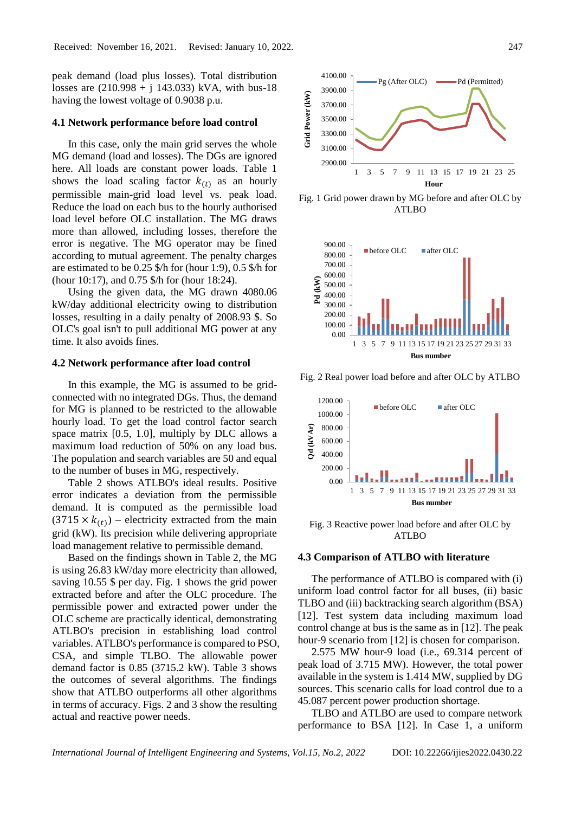peak demand (load plus losses). Total distribution losses are  $(210.998 + j 143.033)$  kVA, with bus-18 having the lowest voltage of 0.9038 p.u.

#### **4.1 Network performance before load control**

In this case, only the main grid serves the whole MG demand (load and losses). The DGs are ignored here. All loads are constant power loads. Table 1 shows the load scaling factor  $k(t)$  as an hourly permissible main-grid load level vs. peak load. Reduce the load on each bus to the hourly authorised load level before OLC installation. The MG draws more than allowed, including losses, therefore the error is negative. The MG operator may be fined according to mutual agreement. The penalty charges are estimated to be 0.25 \$/h for (hour 1:9), 0.5 \$/h for (hour 10:17), and 0.75 \$/h for (hour 18:24).

Using the given data, the MG drawn 4080.06 kW/day additional electricity owing to distribution losses, resulting in a daily penalty of 2008.93 \$. So OLC's goal isn't to pull additional MG power at any time. It also avoids fines.

## **4.2 Network performance after load control**

In this example, the MG is assumed to be gridconnected with no integrated DGs. Thus, the demand for MG is planned to be restricted to the allowable hourly load. To get the load control factor search space matrix [0.5, 1.0], multiply by DLC allows a maximum load reduction of 50% on any load bus. The population and search variables are 50 and equal to the number of buses in MG, respectively.

Table 2 shows ATLBO's ideal results. Positive error indicates a deviation from the permissible demand. It is computed as the permissible load  $(3715 \times k_{(t)})$  – electricity extracted from the main grid (kW). Its precision while delivering appropriate load management relative to permissible demand.

Based on the findings shown in Table 2, the MG is using 26.83 kW/day more electricity than allowed, saving 10.55 \$ per day. Fig. 1 shows the grid power extracted before and after the OLC procedure. The permissible power and extracted power under the OLC scheme are practically identical, demonstrating ATLBO's precision in establishing load control variables. ATLBO's performance is compared to PSO, CSA, and simple TLBO. The allowable power demand factor is 0.85 (3715.2 kW). Table 3 shows the outcomes of several algorithms. The findings show that ATLBO outperforms all other algorithms in terms of accuracy. Figs. 2 and 3 show the resulting actual and reactive power needs.



Fig. 1 Grid power drawn by MG before and after OLC by ATLBO



Fig. 2 Real power load before and after OLC by ATLBO



Fig. 3 Reactive power load before and after OLC by  $ATLRO$ 

#### **4.3 Comparison of ATLBO with literature**

The performance of ATLBO is compared with (i) uniform load control factor for all buses, (ii) basic TLBO and (iii) backtracking search algorithm (BSA) [12]. Test system data including maximum load control change at bus is the same as in [12]. The peak hour-9 scenario from [12] is chosen for comparison.

2.575 MW hour-9 load (i.e., 69.314 percent of peak load of 3.715 MW). However, the total power available in the system is 1.414 MW, supplied by DG sources. This scenario calls for load control due to a 45.087 percent power production shortage.

TLBO and ATLBO are used to compare network performance to BSA [12]. In Case 1, a uniform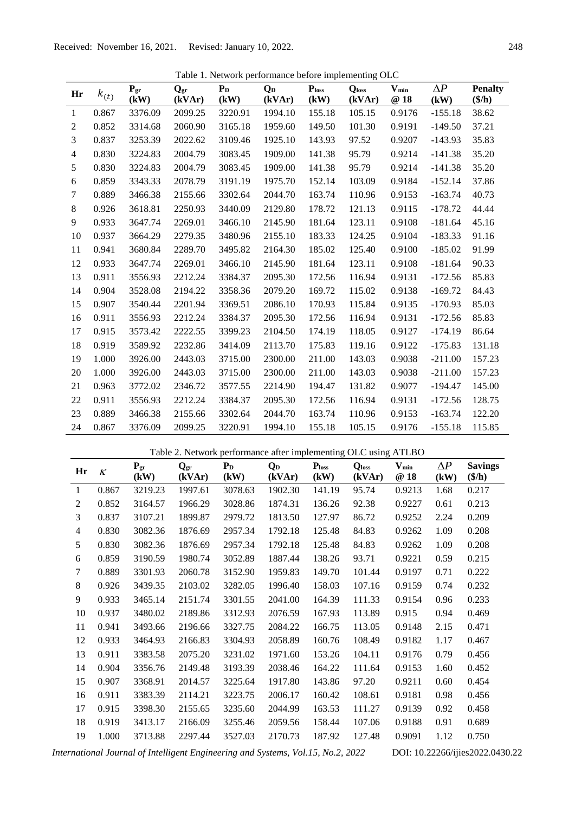Table 1. Network performance before implementing OLC

| Hr             | $k_{(t)}$ | $P_{gr}$<br>(kW) | $\mathbf{Q}_{\text{gr}}$<br>(kVAr) | $P_D$<br>(kW) | Q <sub>D</sub><br>(kVAr) | $P_{loss}$<br>(kW) | <b>Q</b> loss<br>(kVAr) | $V_{min}$<br>@18 | $\Delta P$<br>(kW) | <b>Penalty</b><br>$(\frac{\epsilon}{h})$ |
|----------------|-----------|------------------|------------------------------------|---------------|--------------------------|--------------------|-------------------------|------------------|--------------------|------------------------------------------|
| 1              | 0.867     | 3376.09          | 2099.25                            | 3220.91       | 1994.10                  | 155.18             | 105.15                  | 0.9176           | $-155.18$          | 38.62                                    |
| 2              | 0.852     | 3314.68          | 2060.90                            | 3165.18       | 1959.60                  | 149.50             | 101.30                  | 0.9191           | $-149.50$          | 37.21                                    |
| 3              | 0.837     | 3253.39          | 2022.62                            | 3109.46       | 1925.10                  | 143.93             | 97.52                   | 0.9207           | $-143.93$          | 35.83                                    |
| $\overline{4}$ | 0.830     | 3224.83          | 2004.79                            | 3083.45       | 1909.00                  | 141.38             | 95.79                   | 0.9214           | $-141.38$          | 35.20                                    |
| 5              | 0.830     | 3224.83          | 2004.79                            | 3083.45       | 1909.00                  | 141.38             | 95.79                   | 0.9214           | $-141.38$          | 35.20                                    |
| 6              | 0.859     | 3343.33          | 2078.79                            | 3191.19       | 1975.70                  | 152.14             | 103.09                  | 0.9184           | $-152.14$          | 37.86                                    |
| 7              | 0.889     | 3466.38          | 2155.66                            | 3302.64       | 2044.70                  | 163.74             | 110.96                  | 0.9153           | $-163.74$          | 40.73                                    |
| $\,8\,$        | 0.926     | 3618.81          | 2250.93                            | 3440.09       | 2129.80                  | 178.72             | 121.13                  | 0.9115           | $-178.72$          | 44.44                                    |
| 9              | 0.933     | 3647.74          | 2269.01                            | 3466.10       | 2145.90                  | 181.64             | 123.11                  | 0.9108           | $-181.64$          | 45.16                                    |
| 10             | 0.937     | 3664.29          | 2279.35                            | 3480.96       | 2155.10                  | 183.33             | 124.25                  | 0.9104           | $-183.33$          | 91.16                                    |
| 11             | 0.941     | 3680.84          | 2289.70                            | 3495.82       | 2164.30                  | 185.02             | 125.40                  | 0.9100           | $-185.02$          | 91.99                                    |
| 12             | 0.933     | 3647.74          | 2269.01                            | 3466.10       | 2145.90                  | 181.64             | 123.11                  | 0.9108           | $-181.64$          | 90.33                                    |
| 13             | 0.911     | 3556.93          | 2212.24                            | 3384.37       | 2095.30                  | 172.56             | 116.94                  | 0.9131           | $-172.56$          | 85.83                                    |
| 14             | 0.904     | 3528.08          | 2194.22                            | 3358.36       | 2079.20                  | 169.72             | 115.02                  | 0.9138           | $-169.72$          | 84.43                                    |
| 15             | 0.907     | 3540.44          | 2201.94                            | 3369.51       | 2086.10                  | 170.93             | 115.84                  | 0.9135           | $-170.93$          | 85.03                                    |
| 16             | 0.911     | 3556.93          | 2212.24                            | 3384.37       | 2095.30                  | 172.56             | 116.94                  | 0.9131           | $-172.56$          | 85.83                                    |
| 17             | 0.915     | 3573.42          | 2222.55                            | 3399.23       | 2104.50                  | 174.19             | 118.05                  | 0.9127           | $-174.19$          | 86.64                                    |
| 18             | 0.919     | 3589.92          | 2232.86                            | 3414.09       | 2113.70                  | 175.83             | 119.16                  | 0.9122           | $-175.83$          | 131.18                                   |
| 19             | 1.000     | 3926.00          | 2443.03                            | 3715.00       | 2300.00                  | 211.00             | 143.03                  | 0.9038           | $-211.00$          | 157.23                                   |
| 20             | 1.000     | 3926.00          | 2443.03                            | 3715.00       | 2300.00                  | 211.00             | 143.03                  | 0.9038           | $-211.00$          | 157.23                                   |
| 21             | 0.963     | 3772.02          | 2346.72                            | 3577.55       | 2214.90                  | 194.47             | 131.82                  | 0.9077           | $-194.47$          | 145.00                                   |
| 22             | 0.911     | 3556.93          | 2212.24                            | 3384.37       | 2095.30                  | 172.56             | 116.94                  | 0.9131           | $-172.56$          | 128.75                                   |
| 23             | 0.889     | 3466.38          | 2155.66                            | 3302.64       | 2044.70                  | 163.74             | 110.96                  | 0.9153           | $-163.74$          | 122.20                                   |
| 24             | 0.867     | 3376.09          | 2099.25                            | 3220.91       | 1994.10                  | 155.18             | 105.15                  | 0.9176           | $-155.18$          | 115.85                                   |

|  | Table 2. Network performance after implementing OLC using ATLBO |
|--|-----------------------------------------------------------------|
|  |                                                                 |

| Hr | $\kappa$ | ${\bf Pgr$<br>(kW) | $\mathbf{Q}_{\text{gr}}$<br>(kVAr) | $P_D$<br>(kW) | Q <sub>D</sub><br>(kVAr) | $P_{loss}$<br>(kW) | <b>Q</b> loss<br>(kVAr) | $V_{min}$<br>@18 | $\Delta P$<br>(kW) | <b>Savings</b><br>$(\frac{\epsilon}{h})$ |
|----|----------|--------------------|------------------------------------|---------------|--------------------------|--------------------|-------------------------|------------------|--------------------|------------------------------------------|
| 1  | 0.867    | 3219.23            | 1997.61                            | 3078.63       | 1902.30                  | 141.19             | 95.74                   | 0.9213           | 1.68               | 0.217                                    |
| 2  | 0.852    | 3164.57            | 1966.29                            | 3028.86       | 1874.31                  | 136.26             | 92.38                   | 0.9227           | 0.61               | 0.213                                    |
| 3  | 0.837    | 3107.21            | 1899.87                            | 2979.72       | 1813.50                  | 127.97             | 86.72                   | 0.9252           | 2.24               | 0.209                                    |
| 4  | 0.830    | 3082.36            | 1876.69                            | 2957.34       | 1792.18                  | 125.48             | 84.83                   | 0.9262           | 1.09               | 0.208                                    |
| 5  | 0.830    | 3082.36            | 1876.69                            | 2957.34       | 1792.18                  | 125.48             | 84.83                   | 0.9262           | 1.09               | 0.208                                    |
| 6  | 0.859    | 3190.59            | 1980.74                            | 3052.89       | 1887.44                  | 138.26             | 93.71                   | 0.9221           | 0.59               | 0.215                                    |
| 7  | 0.889    | 3301.93            | 2060.78                            | 3152.90       | 1959.83                  | 149.70             | 101.44                  | 0.9197           | 0.71               | 0.222                                    |
| 8  | 0.926    | 3439.35            | 2103.02                            | 3282.05       | 1996.40                  | 158.03             | 107.16                  | 0.9159           | 0.74               | 0.232                                    |
| 9  | 0.933    | 3465.14            | 2151.74                            | 3301.55       | 2041.00                  | 164.39             | 111.33                  | 0.9154           | 0.96               | 0.233                                    |
| 10 | 0.937    | 3480.02            | 2189.86                            | 3312.93       | 2076.59                  | 167.93             | 113.89                  | 0.915            | 0.94               | 0.469                                    |
| 11 | 0.941    | 3493.66            | 2196.66                            | 3327.75       | 2084.22                  | 166.75             | 113.05                  | 0.9148           | 2.15               | 0.471                                    |
| 12 | 0.933    | 3464.93            | 2166.83                            | 3304.93       | 2058.89                  | 160.76             | 108.49                  | 0.9182           | 1.17               | 0.467                                    |
| 13 | 0.911    | 3383.58            | 2075.20                            | 3231.02       | 1971.60                  | 153.26             | 104.11                  | 0.9176           | 0.79               | 0.456                                    |
| 14 | 0.904    | 3356.76            | 2149.48                            | 3193.39       | 2038.46                  | 164.22             | 111.64                  | 0.9153           | 1.60               | 0.452                                    |
| 15 | 0.907    | 3368.91            | 2014.57                            | 3225.64       | 1917.80                  | 143.86             | 97.20                   | 0.9211           | 0.60               | 0.454                                    |
| 16 | 0.911    | 3383.39            | 2114.21                            | 3223.75       | 2006.17                  | 160.42             | 108.61                  | 0.9181           | 0.98               | 0.456                                    |
| 17 | 0.915    | 3398.30            | 2155.65                            | 3235.60       | 2044.99                  | 163.53             | 111.27                  | 0.9139           | 0.92               | 0.458                                    |
| 18 | 0.919    | 3413.17            | 2166.09                            | 3255.46       | 2059.56                  | 158.44             | 107.06                  | 0.9188           | 0.91               | 0.689                                    |
| 19 | 1.000    | 3713.88            | 2297.44                            | 3527.03       | 2170.73                  | 187.92             | 127.48                  | 0.9091           | 1.12               | 0.750                                    |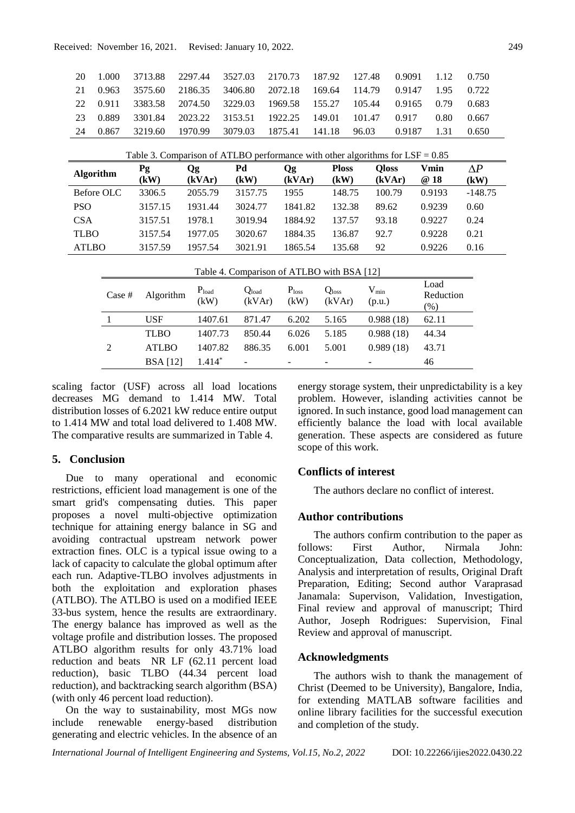| 20                                                                              | 1.000            | 3713.88         | 2297.44            | 3527.03              | 2170.73                   | 187.92                         | 127.48                                             | 0.9091                 | 1.12                        | 0.750              |
|---------------------------------------------------------------------------------|------------------|-----------------|--------------------|----------------------|---------------------------|--------------------------------|----------------------------------------------------|------------------------|-----------------------------|--------------------|
| 21                                                                              | 0.963            | 3575.60         | 2186.35            | 3406.80              | 2072.18                   | 169.64                         | 114.79                                             | 0.9147                 | 1.95                        | 0.722              |
| 22                                                                              | 0.911            | 3383.58         | 2074.50            | 3229.03              | 1969.58                   | 155.27                         | 105.44                                             | 0.9165                 | 0.79                        | 0.683              |
| 23                                                                              | 0.889            | 3301.84         | 2023.22            | 3153.51              | 1922.25                   | 149.01                         | 101.47                                             | 0.917                  | 0.80                        | 0.667              |
| 24                                                                              | 0.867            | 3219.60         | 1970.99            | 3079.03              | 1875.41                   | 141.18                         | 96.03                                              | 0.9187                 | 1.31                        | 0.650              |
| Table 3. Comparison of ATLBO performance with other algorithms for $LSF = 0.85$ |                  |                 |                    |                      |                           |                                |                                                    |                        |                             |                    |
|                                                                                 | <b>Algorithm</b> | Pg<br>(kW)      | Qg<br>(kVAr)       | Pd<br>(kW)           | <b>Qg</b>                 | <b>Ploss</b><br>(kVAr)<br>(kW) |                                                    | <b>Qloss</b><br>(kVAr) | Vmin<br>@ 18                | $\Delta P$<br>(kW) |
| Before OLC                                                                      |                  | 3306.5          | 2055.79            | 3157.75              | 1955                      |                                | 148.75                                             | 100.79                 | 0.9193                      | $-148.75$          |
| <b>PSO</b>                                                                      |                  | 3157.15         | 1931.44            | 3024.77              | 1841.82                   |                                | 132.38                                             | 89.62                  | 0.9239                      | 0.60               |
| <b>CSA</b>                                                                      |                  | 3157.51         | 1978.1             | 3019.94              | 1884.92                   |                                | 137.57<br>93.18                                    |                        | 0.9227                      | 0.24               |
| <b>TLBO</b>                                                                     |                  | 3157.54         | 1977.05            | 3020.67              | 1884.35                   |                                | 136.87<br>92.7                                     |                        | 0.9228                      | 0.21               |
| <b>ATLBO</b>                                                                    |                  | 3157.59         | 1957.54            | 3021.91              | 1865.54                   |                                | 92<br>135.68                                       |                        | 0.9226                      | 0.16               |
| Table 4. Comparison of ATLBO with BSA [12]                                      |                  |                 |                    |                      |                           |                                |                                                    |                        |                             |                    |
|                                                                                 | Case #           | Algorithm       | $P_{load}$<br>(kW) | $Q_{load}$<br>(kVAr) | P <sub>loss</sub><br>(kW) |                                | $V_{min}$<br>Q <sub>loss</sub><br>(kVAr)<br>(p.u.) |                        | Load<br>Reduction<br>$(\%)$ |                    |
|                                                                                 | -1               | <b>USF</b>      | 1407.61            | 871.47               | 6.202                     | 5.165                          |                                                    | 0.988(18)              | 62.11                       |                    |
|                                                                                 |                  | <b>TLBO</b>     | 1407.73            | 850.44               | 6.026                     | 5.185                          |                                                    | 0.988(18)              | 44.34                       |                    |
|                                                                                 | $\overline{2}$   | <b>ATLBO</b>    | 1407.82            | 886.35               | 6.001                     | 5.001                          |                                                    | 0.989(18)              | 43.71                       |                    |
|                                                                                 |                  | <b>BSA</b> [12] | 1.414*             |                      |                           |                                |                                                    |                        | 46                          |                    |

scaling factor (USF) across all load locations decreases MG demand to 1.414 MW. Total distribution losses of 6.2021 kW reduce entire output to 1.414 MW and total load delivered to 1.408 MW. The comparative results are summarized in Table 4.

# **5. Conclusion**

Due to many operational and economic restrictions, efficient load management is one of the smart grid's compensating duties. This paper proposes a novel multi-objective optimization technique for attaining energy balance in SG and avoiding contractual upstream network power extraction fines. OLC is a typical issue owing to a lack of capacity to calculate the global optimum after each run. Adaptive-TLBO involves adjustments in both the exploitation and exploration phases (ATLBO). The ATLBO is used on a modified IEEE 33-bus system, hence the results are extraordinary. The energy balance has improved as well as the voltage profile and distribution losses. The proposed ATLBO algorithm results for only 43.71% load reduction and beats NR LF (62.11 percent load reduction), basic TLBO (44.34 percent load reduction), and backtracking search algorithm (BSA) (with only 46 percent load reduction).

On the way to sustainability, most MGs now include renewable energy-based distribution generating and electric vehicles. In the absence of an

energy storage system, their unpredictability is a key problem. However, islanding activities cannot be ignored. In such instance, good load management can efficiently balance the load with local available generation. These aspects are considered as future scope of this work.

## **Conflicts of interest**

The authors declare no conflict of interest.

## **Author contributions**

The authors confirm contribution to the paper as follows: First Author, Nirmala John: Conceptualization, Data collection, Methodology, Analysis and interpretation of results, Original Draft Preparation, Editing; Second author Varaprasad Janamala: Supervison, Validation, Investigation, Final review and approval of manuscript; Third Author, Joseph Rodrigues: Supervision, Final Review and approval of manuscript.

#### **Acknowledgments**

The authors wish to thank the management of Christ (Deemed to be University), Bangalore, India, for extending MATLAB software facilities and online library facilities for the successful execution and completion of the study.